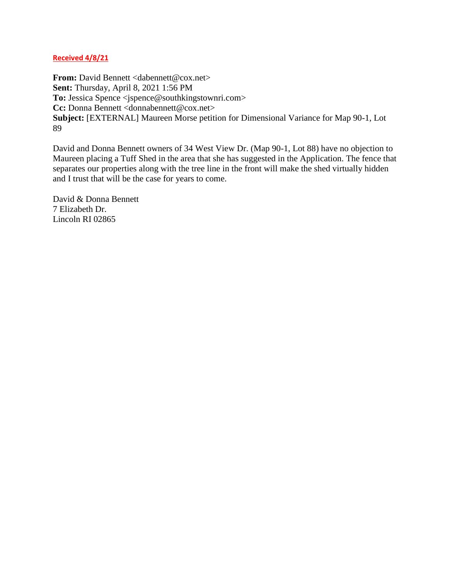## **Received 4/8/21**

**From:** David Bennett <dabennett@cox.net> **Sent:** Thursday, April 8, 2021 1:56 PM To: Jessica Spence <jspence@southkingstownri.com> **Cc:** Donna Bennett <donnabennett@cox.net> **Subject:** [EXTERNAL] Maureen Morse petition for Dimensional Variance for Map 90-1, Lot 89

David and Donna Bennett owners of 34 West View Dr. (Map 90-1, Lot 88) have no objection to Maureen placing a Tuff Shed in the area that she has suggested in the Application. The fence that separates our properties along with the tree line in the front will make the shed virtually hidden and I trust that will be the case for years to come.

David & Donna Bennett 7 Elizabeth Dr. Lincoln RI 02865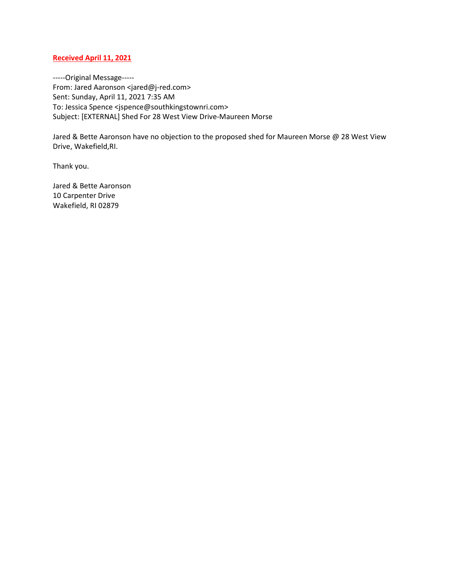## **Received April 11, 2021**

-----Original Message----- From: Jared Aaronson <jared@j-red.com> Sent: Sunday, April 11, 2021 7:35 AM To: Jessica Spence <jspence@southkingstownri.com> Subject: [EXTERNAL] Shed For 28 West View Drive-Maureen Morse

Jared & Bette Aaronson have no objection to the proposed shed for Maureen Morse @ 28 West View Drive, Wakefield,RI.

Thank you.

Jared & Bette Aaronson 10 Carpenter Drive Wakefield, RI 02879